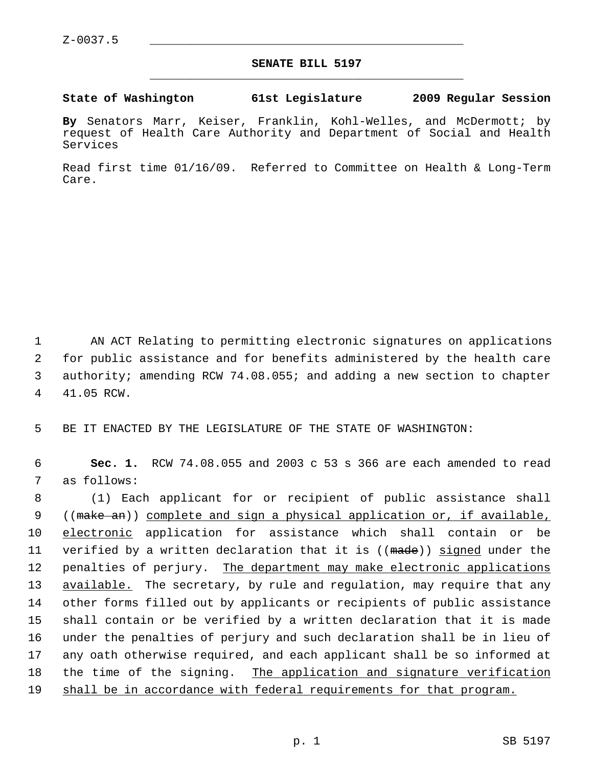## **SENATE BILL 5197** \_\_\_\_\_\_\_\_\_\_\_\_\_\_\_\_\_\_\_\_\_\_\_\_\_\_\_\_\_\_\_\_\_\_\_\_\_\_\_\_\_\_\_\_\_

## **State of Washington 61st Legislature 2009 Regular Session**

**By** Senators Marr, Keiser, Franklin, Kohl-Welles, and McDermott; by request of Health Care Authority and Department of Social and Health Services

Read first time 01/16/09. Referred to Committee on Health & Long-Term Care.

 1 AN ACT Relating to permitting electronic signatures on applications 2 for public assistance and for benefits administered by the health care 3 authority; amending RCW 74.08.055; and adding a new section to chapter 4 41.05 RCW.

5 BE IT ENACTED BY THE LEGISLATURE OF THE STATE OF WASHINGTON:

 6 **Sec. 1.** RCW 74.08.055 and 2003 c 53 s 366 are each amended to read 7 as follows:

 8 (1) Each applicant for or recipient of public assistance shall 9 ((make an)) complete and sign a physical application or, if available, 10 electronic application for assistance which shall contain or be 11 verified by a written declaration that it is ((made)) signed under the 12 penalties of perjury. The department may make electronic applications 13 available. The secretary, by rule and regulation, may require that any 14 other forms filled out by applicants or recipients of public assistance 15 shall contain or be verified by a written declaration that it is made 16 under the penalties of perjury and such declaration shall be in lieu of 17 any oath otherwise required, and each applicant shall be so informed at 18 the time of the signing. The application and signature verification 19 shall be in accordance with federal requirements for that program.